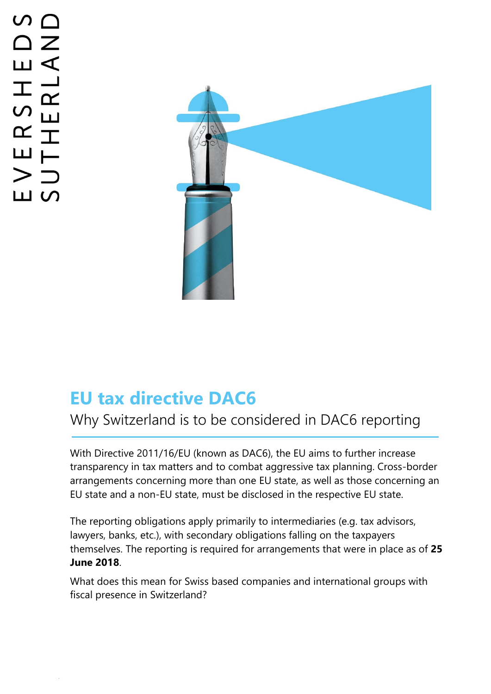# $\triangle$   $\geq$  $\overline{\mathsf{L}}$ ERSHI<br>THERL, > ― ய ഗ

.



## **EU tax directive DAC6**

## Why Switzerland is to be considered in DAC6 reporting

With Directive 2011/16/EU (known as DAC6), the EU aims to further increase transparency in tax matters and to combat aggressive tax planning. Cross-border arrangements concerning more than one EU state, as well as those concerning an EU state and a non-EU state, must be disclosed in the respective EU state.

The reporting obligations apply primarily to intermediaries (e.g. tax advisors, lawyers, banks, etc.), with secondary obligations falling on the taxpayers themselves. The reporting is required for arrangements that were in place as of **25 June 2018**.

What does this mean for Swiss based companies and international groups with fiscal presence in Switzerland?